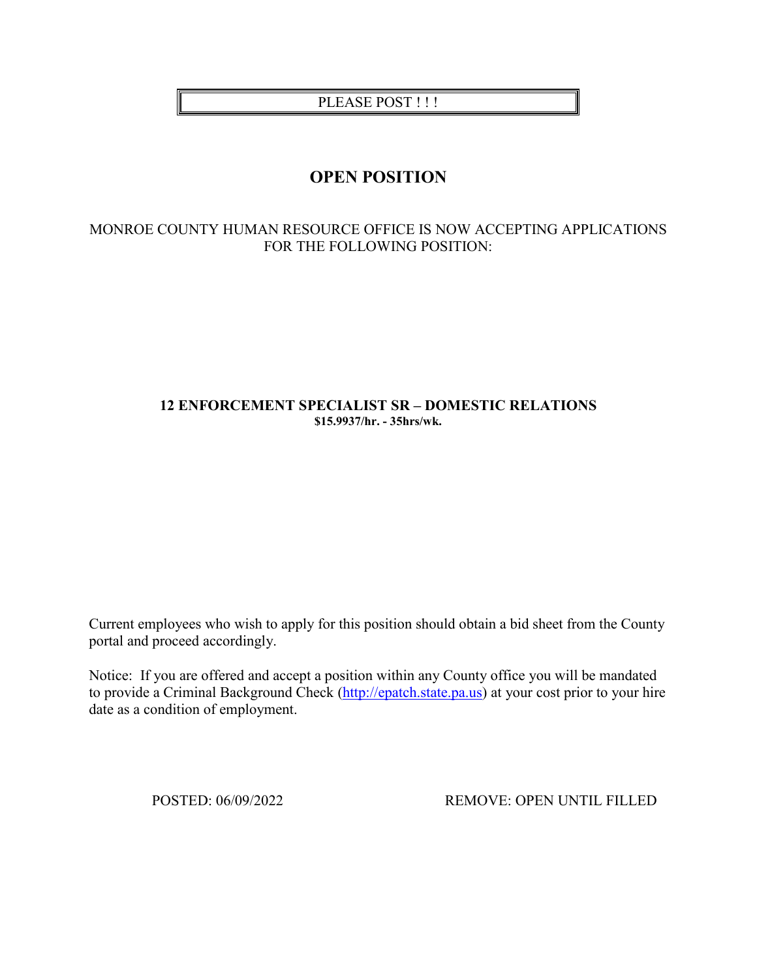PLEASE POST !!!

# **OPEN POSITION**

## MONROE COUNTY HUMAN RESOURCE OFFICE IS NOW ACCEPTING APPLICATIONS FOR THE FOLLOWING POSITION:

### **12 ENFORCEMENT SPECIALIST SR – DOMESTIC RELATIONS \$15.9937/hr. - 35hrs/wk.**

Current employees who wish to apply for this position should obtain a bid sheet from the County portal and proceed accordingly.

Notice: If you are offered and accept a position within any County office you will be mandated to provide a Criminal Background Check [\(http://epatch.state.pa.us\)](http://epatch.state.pa.us/) at your cost prior to your hire date as a condition of employment.

POSTED: 06/09/2022 REMOVE: OPEN UNTIL FILLED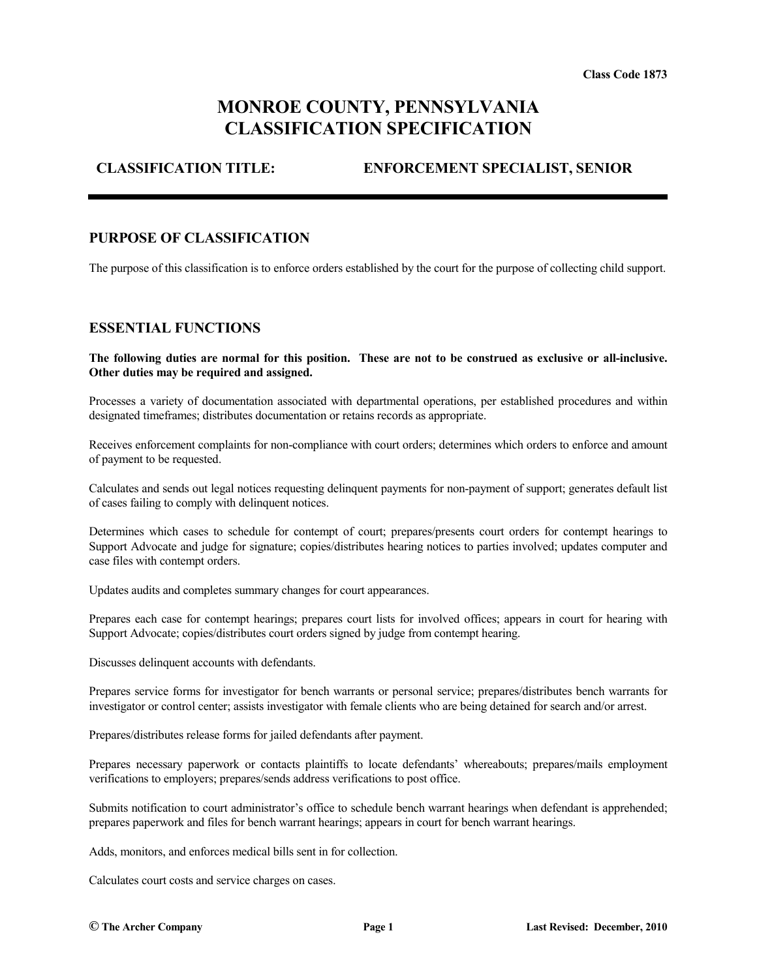# **MONROE COUNTY, PENNSYLVANIA CLASSIFICATION SPECIFICATION**

## **CLASSIFICATION TITLE: ENFORCEMENT SPECIALIST, SENIOR**

#### **PURPOSE OF CLASSIFICATION**

The purpose of this classification is to enforce orders established by the court for the purpose of collecting child support.

#### **ESSENTIAL FUNCTIONS**

**The following duties are normal for this position. These are not to be construed as exclusive or all-inclusive. Other duties may be required and assigned.**

Processes a variety of documentation associated with departmental operations, per established procedures and within designated timeframes; distributes documentation or retains records as appropriate.

Receives enforcement complaints for non-compliance with court orders; determines which orders to enforce and amount of payment to be requested.

Calculates and sends out legal notices requesting delinquent payments for non-payment of support; generates default list of cases failing to comply with delinquent notices.

Determines which cases to schedule for contempt of court; prepares/presents court orders for contempt hearings to Support Advocate and judge for signature; copies/distributes hearing notices to parties involved; updates computer and case files with contempt orders.

Updates audits and completes summary changes for court appearances.

Prepares each case for contempt hearings; prepares court lists for involved offices; appears in court for hearing with Support Advocate; copies/distributes court orders signed by judge from contempt hearing.

Discusses delinquent accounts with defendants.

Prepares service forms for investigator for bench warrants or personal service; prepares/distributes bench warrants for investigator or control center; assists investigator with female clients who are being detained for search and/or arrest.

Prepares/distributes release forms for jailed defendants after payment.

Prepares necessary paperwork or contacts plaintiffs to locate defendants' whereabouts; prepares/mails employment verifications to employers; prepares/sends address verifications to post office.

Submits notification to court administrator's office to schedule bench warrant hearings when defendant is apprehended; prepares paperwork and files for bench warrant hearings; appears in court for bench warrant hearings.

Adds, monitors, and enforces medical bills sent in for collection.

Calculates court costs and service charges on cases.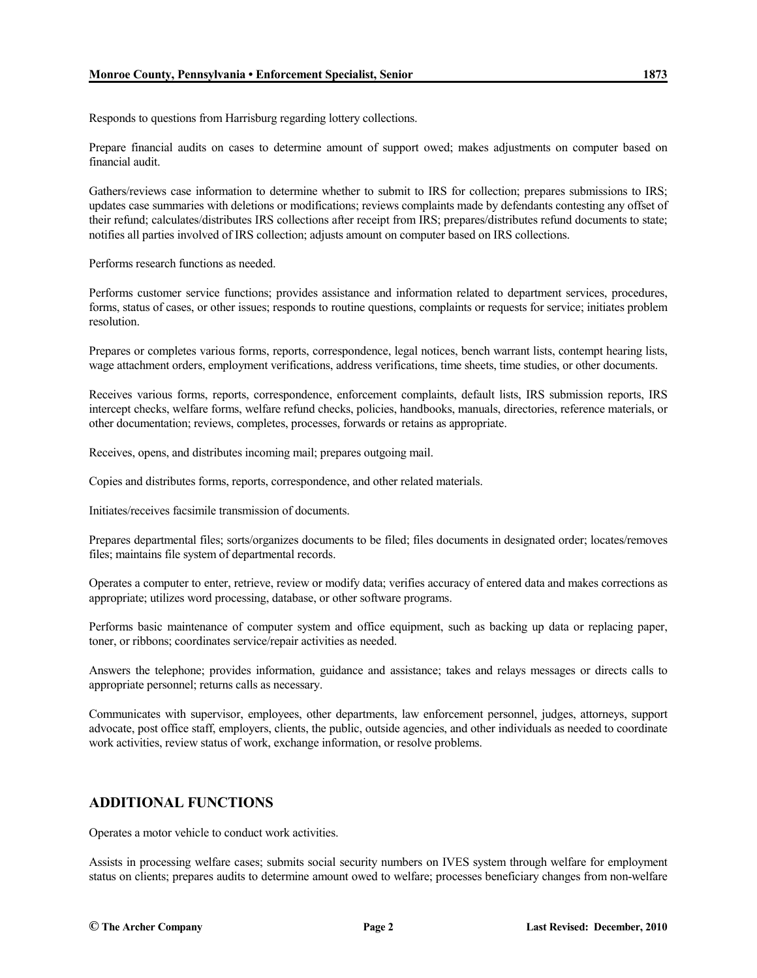Responds to questions from Harrisburg regarding lottery collections.

Prepare financial audits on cases to determine amount of support owed; makes adjustments on computer based on financial audit.

Gathers/reviews case information to determine whether to submit to IRS for collection; prepares submissions to IRS; updates case summaries with deletions or modifications; reviews complaints made by defendants contesting any offset of their refund; calculates/distributes IRS collections after receipt from IRS; prepares/distributes refund documents to state; notifies all parties involved of IRS collection; adjusts amount on computer based on IRS collections.

Performs research functions as needed.

Performs customer service functions; provides assistance and information related to department services, procedures, forms, status of cases, or other issues; responds to routine questions, complaints or requests for service; initiates problem resolution.

Prepares or completes various forms, reports, correspondence, legal notices, bench warrant lists, contempt hearing lists, wage attachment orders, employment verifications, address verifications, time sheets, time studies, or other documents.

Receives various forms, reports, correspondence, enforcement complaints, default lists, IRS submission reports, IRS intercept checks, welfare forms, welfare refund checks, policies, handbooks, manuals, directories, reference materials, or other documentation; reviews, completes, processes, forwards or retains as appropriate.

Receives, opens, and distributes incoming mail; prepares outgoing mail.

Copies and distributes forms, reports, correspondence, and other related materials.

Initiates/receives facsimile transmission of documents.

Prepares departmental files; sorts/organizes documents to be filed; files documents in designated order; locates/removes files; maintains file system of departmental records.

Operates a computer to enter, retrieve, review or modify data; verifies accuracy of entered data and makes corrections as appropriate; utilizes word processing, database, or other software programs.

Performs basic maintenance of computer system and office equipment, such as backing up data or replacing paper, toner, or ribbons; coordinates service/repair activities as needed.

Answers the telephone; provides information, guidance and assistance; takes and relays messages or directs calls to appropriate personnel; returns calls as necessary.

Communicates with supervisor, employees, other departments, law enforcement personnel, judges, attorneys, support advocate, post office staff, employers, clients, the public, outside agencies, and other individuals as needed to coordinate work activities, review status of work, exchange information, or resolve problems.

## **ADDITIONAL FUNCTIONS**

Operates a motor vehicle to conduct work activities.

Assists in processing welfare cases; submits social security numbers on IVES system through welfare for employment status on clients; prepares audits to determine amount owed to welfare; processes beneficiary changes from non-welfare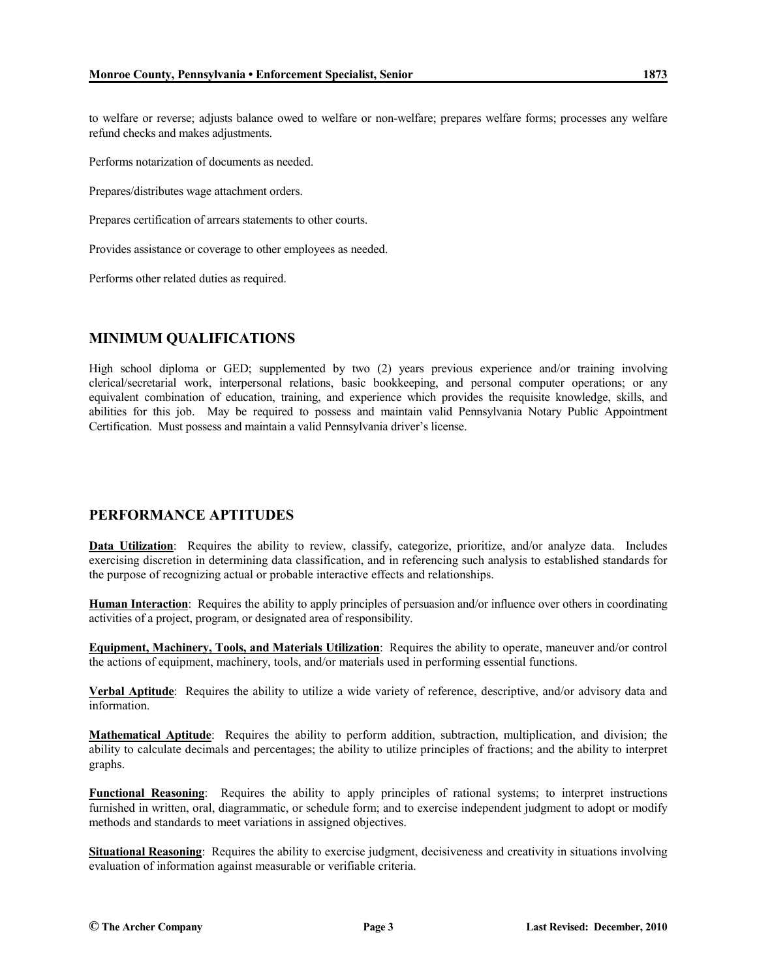to welfare or reverse; adjusts balance owed to welfare or non-welfare; prepares welfare forms; processes any welfare refund checks and makes adjustments.

Performs notarization of documents as needed.

Prepares/distributes wage attachment orders.

Prepares certification of arrears statements to other courts.

Provides assistance or coverage to other employees as needed.

Performs other related duties as required.

#### **MINIMUM QUALIFICATIONS**

High school diploma or GED; supplemented by two (2) years previous experience and/or training involving clerical/secretarial work, interpersonal relations, basic bookkeeping, and personal computer operations; or any equivalent combination of education, training, and experience which provides the requisite knowledge, skills, and abilities for this job. May be required to possess and maintain valid Pennsylvania Notary Public Appointment Certification. Must possess and maintain a valid Pennsylvania driver's license.

## **PERFORMANCE APTITUDES**

**Data Utilization**: Requires the ability to review, classify, categorize, prioritize, and/or analyze data. Includes exercising discretion in determining data classification, and in referencing such analysis to established standards for the purpose of recognizing actual or probable interactive effects and relationships.

**Human Interaction**: Requires the ability to apply principles of persuasion and/or influence over others in coordinating activities of a project, program, or designated area of responsibility.

**Equipment, Machinery, Tools, and Materials Utilization**: Requires the ability to operate, maneuver and/or control the actions of equipment, machinery, tools, and/or materials used in performing essential functions.

**Verbal Aptitude**: Requires the ability to utilize a wide variety of reference, descriptive, and/or advisory data and information.

**Mathematical Aptitude**: Requires the ability to perform addition, subtraction, multiplication, and division; the ability to calculate decimals and percentages; the ability to utilize principles of fractions; and the ability to interpret graphs.

**Functional Reasoning**: Requires the ability to apply principles of rational systems; to interpret instructions furnished in written, oral, diagrammatic, or schedule form; and to exercise independent judgment to adopt or modify methods and standards to meet variations in assigned objectives.

**Situational Reasoning**: Requires the ability to exercise judgment, decisiveness and creativity in situations involving evaluation of information against measurable or verifiable criteria.